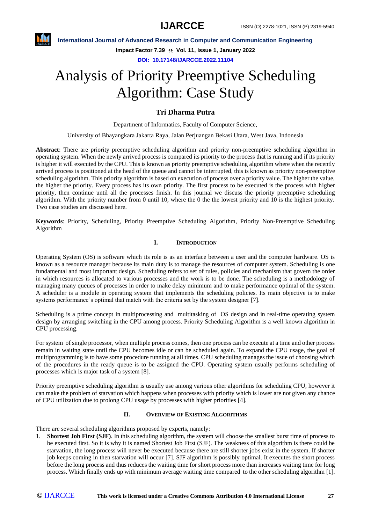

**International Journal of Advanced Research in Computer and Communication Engineering**

**Impact Factor 7.39**  $\div$  **Vol. 11, Issue 1, January 2022** 

**DOI: 10.17148/IJARCCE.2022.11104**

# Analysis of Priority Preemptive Scheduling Algorithm: Case Study

### **Tri Dharma Putra**

Department of Informatics, Faculty of Computer Science,

University of Bhayangkara Jakarta Raya, Jalan Perjuangan Bekasi Utara, West Java, Indonesia

**Abstract**: There are priority preemptive scheduling algorithm and priority non-preemptive scheduling algorithm in operating system. When the newly arrived process is compared its priority to the process that is running and if its priority is higher it will executed by the CPU. This is known as priority preemptive scheduling algorithm where when the recently arrived process is positioned at the head of the queue and cannot be interrupted, this is known as priority non-preemptive scheduling algorithm. This priority algorithm is based on execution of process over a priority value. The higher the value, the higher the priority. Every process has its own priority. The first process to be executed is the process with higher priority, then continue until all the processes finish. In this journal we discuss the priority preemptive scheduling algorithm. With the priority number from 0 until 10, where the 0 the the lowest priority and 10 is the highest priority. Two case studies are discussed here.

**Keywords**: Priority, Scheduling, Priority Preemptive Scheduling Algorithm, Priority Non-Preemptive Scheduling Algorithm

#### **I. INTRODUCTION**

Operating System (OS) is software which its role is as an interface between a user and the computer hardware. OS is known as a resource manager because its main duty is to manage the resources of computer system. Scheduling is one fundamental and most important design. Scheduling refers to set of rules, policies and mechanism that govern the order in which resources is allocated to various processes and the work is to be done. The scheduling is a methodology of managing many queues of processes in order to make delay minimum and to make performance optimal of the system. A scheduler is a module in operating system that implements the scheduling policies. Its main objective is to make systems performance's optimal that match with the criteria set by the system designer [7].

Scheduling is a prime concept in multiprocessing and multitasking of OS design and in real-time operating system design by arranging switching in the CPU among process. Priority Scheduling Algorithm is a well known algorithm in CPU processing.

For system of single processor, when multiple process comes, then one process can be execute at a time and other process remain in waiting state until the CPU becomes idle or can be scheduled again. To expand the CPU usage, the goal of multiprogramming is to have some procedure running at all times. CPU scheduling manages the issue of choosing which of the procedures in the ready queue is to be assigned the CPU. Operating system usually performs scheduling of processes which is major task of a system [8].

Priority preemptive scheduling algorithm is usually use among various other algorithms for scheduling CPU, however it can make the problem of starvation which happens when processes with priority which is lower are not given any chance of CPU utilization due to prolong CPU usage by processes with higher priorities [4].

#### **II. OVERVIEW OF EXISTING ALGORITHMS**

There are several scheduling algorithms proposed by experts, namely:

1. **Shortest Job First (SJF)**. In this scheduling algorithm, the system will choose the smallest burst time of process to be executed first. So it is why it is named Shortest Job First (SJF). The weakness of this algorithm is there could be starvation, the long process will never be executed because there are still shorter jobs exist in the system. If shorter job keeps coming in then starvation will occur [7]. SJF algorithm is possibly optimal. It executes the short process before the long process and thus reduces the waiting time for short process more than increases waiting time for long process. Which finally ends up with minimum average waiting time compared to the other scheduling algorithm [1].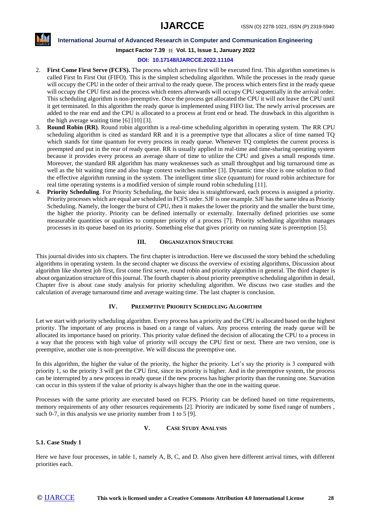

**International Journal of Advanced Research in Computer and Communication Engineering**

**Impact Factor 7.39**  $\div$  **Vol. 11, Issue 1, January 2022** 

#### **DOI: 10.17148/IJARCCE.2022.11104**

- 2. **First Come First Serve (FCFS).** The process which arrives first will be executed first. This algorithm sometimes is called First In First Out (FIFO). This is the simplest scheduling algorithm. While the processes in the ready queue will occupy the CPU in the order of their arrival to the ready queue. The process which enters first in the ready queue will occupy the CPU first and the process which enters afterwards will occupy CPU sequentially in the arrival order. This scheduling algorithm is non-preemptive. Once the process get allocated the CPU it will not leave the CPU until it get terminated. In this algorithm the ready queue is implemented using FIFO list. The newly arrival processes are added to the rear end and the CPU is allocated to a process at front end or head. The drawback in this algorithm is the high average waiting time [6] [10] [3].
- 3. **Round Robin (RR)**. Round robin algorithm is a real-time scheduling algorithm in operating system. The RR CPU scheduling algorithm is cited as standard RR and it is a preemptive type that allocates a slice of time named TQ which stands for time quantum for every process in ready queue. Whenever TQ completes the current process is preempted and put in the rear of ready queue. RR is usually applied in real-time and time-sharing operating system because it provides every process an average share of time to utilize the CPU and gives a small responds time. Moreover, the standard RR algorithm has many weaknesses such as small throughput and big turnaround time as well as the bit waiting time and also huge context switches number [3]. Dynamic time slice is one solution to find the effective algorithm running in the system. The intelligent time slice (quantum) for round robin architecture for real time operating systems is a modified version of simple round robin scheduling [11].
- 4. **Priority Scheduling**. For Priority Scheduling, the basic idea is straightforward, each process is assigned a priority. Priority processes which are equal are scheduled in FCFS order. SJF is one example. SJF has the same idea as Priority Scheduling. Namely, the longer the burst of CPU, then it makes the lower the priority and the smaller the burst time, the higher the priority. Priority can be defined internally or externally. Internally defined priorities use some measurable quantities or qualities to computer priority of a process [7]. Priority scheduling algorithm manages processes in its queue based on its priority. Something else that gives priority on running state is preemption [5].

#### **III.** ORGANIZATION STRUCTURE

This journal divides into six chapters. The first chapter is introduction. Here we discussed the story behind the scheduling algorithms in operating system. In the second chapter we discuss the overview of existing algorithms, Discussion about algorithm like shortest job first, first come first serve, round robin and priority algorithm in general. The third chapter is about organization structure of this journal. The fourth chapter is about priority preemptive scheduling algorithm in detail, Chapter five is about case study analysis for priority scheduling algorithm. We discuss two case studies and the calculation of average turnaround time and average waiting time. The last chapter is conclusion.

#### **IV. PREEMPTIVE PRIORITY SCHEDULING ALGORITHM**

Let we start with priority scheduling algorithm. Every process has a priority and the CPU is allocated based on the highest priority. The important of any process is based on a range of values. Any process entering the ready queue will be allocated its importance based on priority. This priority value defined the decision of allocating the CPU to a process in a way that the process with high value of priority will occupy the CPU first or next. There are two version, one is preemptive, another one is non-preemptive. We will discuss the preemptive one.

In this algorithm, the higher the value of the priority, the higher the priority. Let's say the priority is 3 compared with priority 1, so the priority 3 will get the CPU first, since its priority is higher. And in the preemptive system, the process can be interrupted by a new process in ready queue if the new process has higher priority than the running one. Starvation can occur in this system if the value of priority is always higher than the one in the waiting queue.

Processes with the same priority are executed based on FCFS. Priority can be defined based on time requirements, memory requirements of any other resources requirements [2]. Priority are indicated by some fixed range of numbers , such 0-7, in this analysis we use priority number from 1 to 5 [9].

#### **V. CASE STUDY ANALYSIS**

#### **5.1. Case Study 1**

Here we have four processes, in table 1, namely A, B, C, and D. Also given here different arrival times, with different priorities each.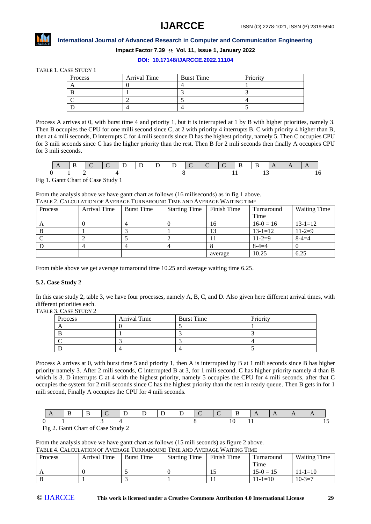## **IJARCCE**



#### **International Journal of Advanced Research in Computer and Communication Engineering**

**Impact Factor 7.39**  $\div$  **Vol. 11, Issue 1, January 2022** 

#### **DOI: 10.17148/IJARCCE.2022.11104**

TABLE 1. CASE STUDY 1

| Process | Arrival Time | <b>Burst Time</b> | Priority |
|---------|--------------|-------------------|----------|
|         |              |                   |          |
|         |              |                   |          |
|         |              |                   |          |
|         |              |                   |          |

Process A arrives at 0, with burst time 4 and priority 1, but it is interrupted at 1 by B with higher priorities, namely 3. Then B occupies the CPU for one milli second since C, at 2 with priority 4 interrupts B. C with priority 4 higher than B, then at 4 mili seconds, D interrupts C for 4 mili seconds since D has the highest priority, namely 5. Then C occupies CPU for 3 mili seconds since C has the higher priority than the rest. Then B for 2 mili seconds then finally A occupies CPU for 3 mili seconds.

Fig 1. Gantt Chart of Case Study 1

From the analysis above we have gantt chart as follows (16 miliseconds) as in fig 1 above. TABLE 2. CALCULATION OF AVERAGE TURNAROUND TIME AND AVERAGE WAITING TIME

| Process | Arrival Time | <b>Burst Time</b> | <b>Starting Time</b> | Finish Time | Turnaround    | <b>Waiting Time</b> |
|---------|--------------|-------------------|----------------------|-------------|---------------|---------------------|
|         |              |                   |                      |             | Time          |                     |
|         |              |                   |                      | 16          | $16-0=16$     | $13 - 1 = 12$       |
|         |              |                   |                      |             | $13 - 1 = 12$ | $11 - 2 = 9$        |
|         |              |                   |                      |             | $11 - 2 = 9$  | $8 - 4 = 4$         |
|         |              |                   |                      |             | $8 - 4 = 4$   |                     |
|         |              |                   |                      | average     | 10.25         | 6.25                |

From table above we get average turnaround time 10.25 and average waiting time 6.25.

#### **5.2. Case Study 2**

In this case study 2, table 3, we have four processes, namely A, B, C, and D. Also given here different arrival times, with different priorities each.

TABLE 3. CASE STUDY 2

| Process | Arrival Time | <b>Burst Time</b> | Priority |
|---------|--------------|-------------------|----------|
|         |              |                   |          |
|         |              |                   |          |
|         |              |                   |          |
|         |              |                   |          |

Process A arrives at 0, with burst time 5 and priority 1, then A is interrupted by B at 1 mili seconds since B has higher priority namely 3. After 2 mili seconds, C interrupted B at 3, for 1 mili second. C has higher priority namely 4 than B which is 3. D interrupts C at 4 with the highest priority, namely 5 occupies the CPU for 4 mili seconds, after that C occupies the system for 2 mili seconds since C has the highest priority than the rest in ready queue. Then B gets in for 1 mili second, Finally A occupies the CPU for 4 mili seconds.

|  | - R | י נון חו חובב |  | $\overline{D}$ |  | $\mathsf{A}$ |  |  |
|--|-----|---------------|--|----------------|--|--------------|--|--|
|  |     |               |  |                |  |              |  |  |

Fig 2. Gantt Chart of Case Study 2

From the analysis above we have gantt chart as follows (15 mili seconds) as figure 2 above. TABLE 4. CALCULATION OF AVERAGE TURNAROUND TIME AND AVERAGE WAITING TIME

|         | TADLE T. CALCOLATION OF INTERACE TUNNAROUND TIME AND INTERACE MATITING TIME |                   |                      |               |               |                     |  |  |  |  |  |
|---------|-----------------------------------------------------------------------------|-------------------|----------------------|---------------|---------------|---------------------|--|--|--|--|--|
| Process | Arrival Time                                                                | <b>Burst Time</b> | <b>Starting Time</b> | l Finish Time |               | <b>Waiting Time</b> |  |  |  |  |  |
|         |                                                                             |                   |                      |               | Time          |                     |  |  |  |  |  |
|         |                                                                             |                   |                      |               | $15-0=15$     | $11 - 1 = 10$       |  |  |  |  |  |
|         |                                                                             |                   |                      |               | $11 - 1 = 10$ | $10 - 3 = 7$        |  |  |  |  |  |